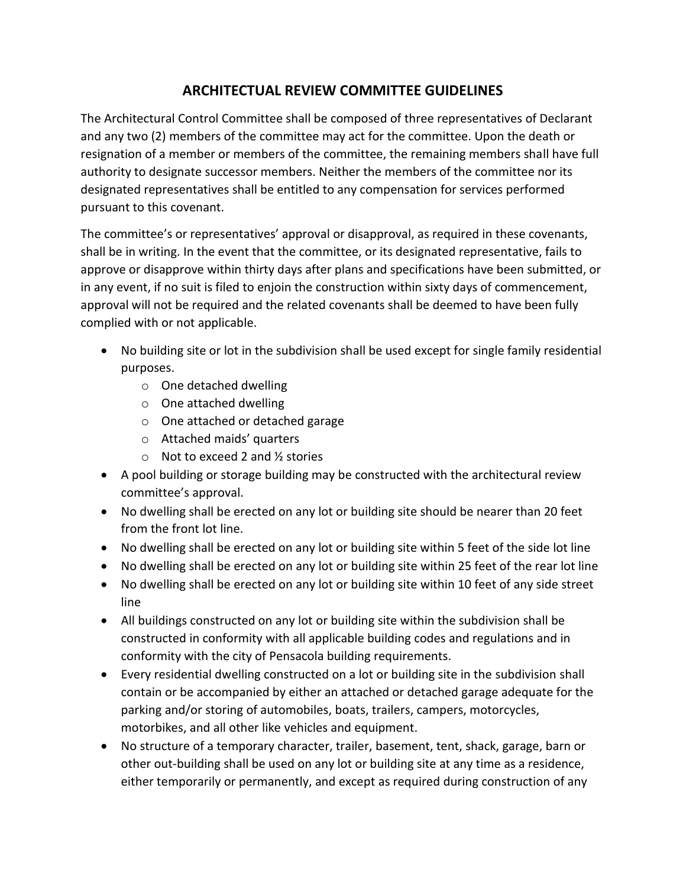## **ARCHITECTUAL REVIEW COMMITTEE GUIDELINES**

The Architectural Control Committee shall be composed of three representatives of Declarant and any two (2) members of the committee may act for the committee. Upon the death or resignation of a member or members of the committee, the remaining members shall have full authority to designate successor members. Neither the members of the committee nor its designated representatives shall be entitled to any compensation for services performed pursuant to this covenant.

The committee's or representatives' approval or disapproval, as required in these covenants, shall be in writing. In the event that the committee, or its designated representative, fails to approve or disapprove within thirty days after plans and specifications have been submitted, or in any event, if no suit is filed to enjoin the construction within sixty days of commencement, approval will not be required and the related covenants shall be deemed to have been fully complied with or not applicable.

- No building site or lot in the subdivision shall be used except for single family residential purposes.
	- o One detached dwelling
	- o One attached dwelling
	- o One attached or detached garage
	- o Attached maids' quarters
	- o Not to exceed 2 and ½ stories
- A pool building or storage building may be constructed with the architectural review committee's approval.
- No dwelling shall be erected on any lot or building site should be nearer than 20 feet from the front lot line.
- No dwelling shall be erected on any lot or building site within 5 feet of the side lot line
- No dwelling shall be erected on any lot or building site within 25 feet of the rear lot line
- No dwelling shall be erected on any lot or building site within 10 feet of any side street line
- All buildings constructed on any lot or building site within the subdivision shall be constructed in conformity with all applicable building codes and regulations and in conformity with the city of Pensacola building requirements.
- Every residential dwelling constructed on a lot or building site in the subdivision shall contain or be accompanied by either an attached or detached garage adequate for the parking and/or storing of automobiles, boats, trailers, campers, motorcycles, motorbikes, and all other like vehicles and equipment.
- No structure of a temporary character, trailer, basement, tent, shack, garage, barn or other out-building shall be used on any lot or building site at any time as a residence, either temporarily or permanently, and except as required during construction of any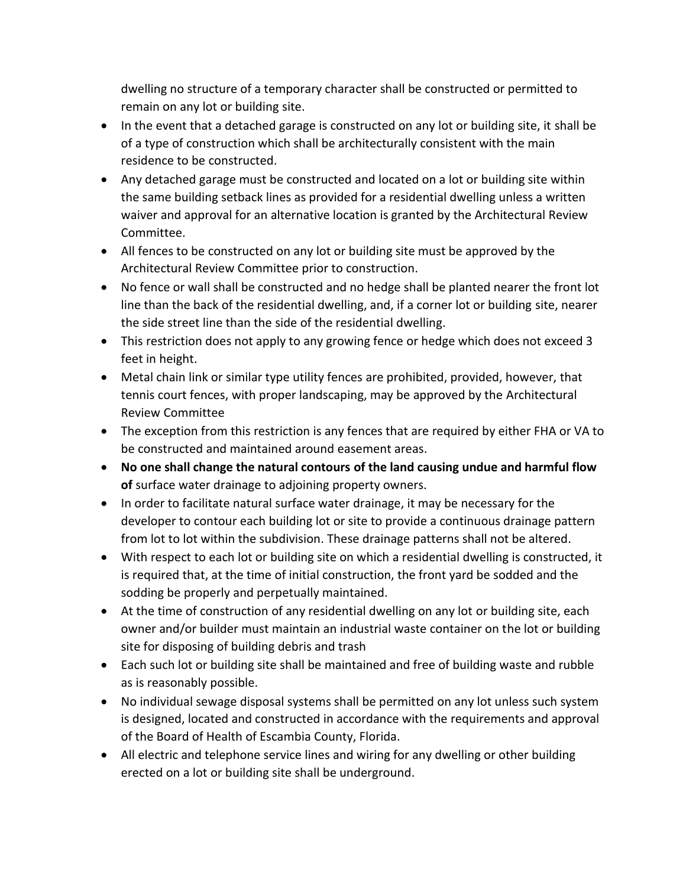dwelling no structure of a temporary character shall be constructed or permitted to remain on any lot or building site.

- In the event that a detached garage is constructed on any lot or building site, it shall be of a type of construction which shall be architecturally consistent with the main residence to be constructed.
- Any detached garage must be constructed and located on a lot or building site within the same building setback lines as provided for a residential dwelling unless a written waiver and approval for an alternative location is granted by the Architectural Review Committee.
- All fences to be constructed on any lot or building site must be approved by the Architectural Review Committee prior to construction.
- No fence or wall shall be constructed and no hedge shall be planted nearer the front lot line than the back of the residential dwelling, and, if a corner lot or building site, nearer the side street line than the side of the residential dwelling.
- This restriction does not apply to any growing fence or hedge which does not exceed 3 feet in height.
- Metal chain link or similar type utility fences are prohibited, provided, however, that tennis court fences, with proper landscaping, may be approved by the Architectural Review Committee
- The exception from this restriction is any fences that are required by either FHA or VA to be constructed and maintained around easement areas.
- **No one shall change the natural contours of the land causing undue and harmful flow of** surface water drainage to adjoining property owners.
- In order to facilitate natural surface water drainage, it may be necessary for the developer to contour each building lot or site to provide a continuous drainage pattern from lot to lot within the subdivision. These drainage patterns shall not be altered.
- With respect to each lot or building site on which a residential dwelling is constructed, it is required that, at the time of initial construction, the front yard be sodded and the sodding be properly and perpetually maintained.
- At the time of construction of any residential dwelling on any lot or building site, each owner and/or builder must maintain an industrial waste container on the lot or building site for disposing of building debris and trash
- Each such lot or building site shall be maintained and free of building waste and rubble as is reasonably possible.
- No individual sewage disposal systems shall be permitted on any lot unless such system is designed, located and constructed in accordance with the requirements and approval of the Board of Health of Escambia County, Florida.
- All electric and telephone service lines and wiring for any dwelling or other building erected on a lot or building site shall be underground.